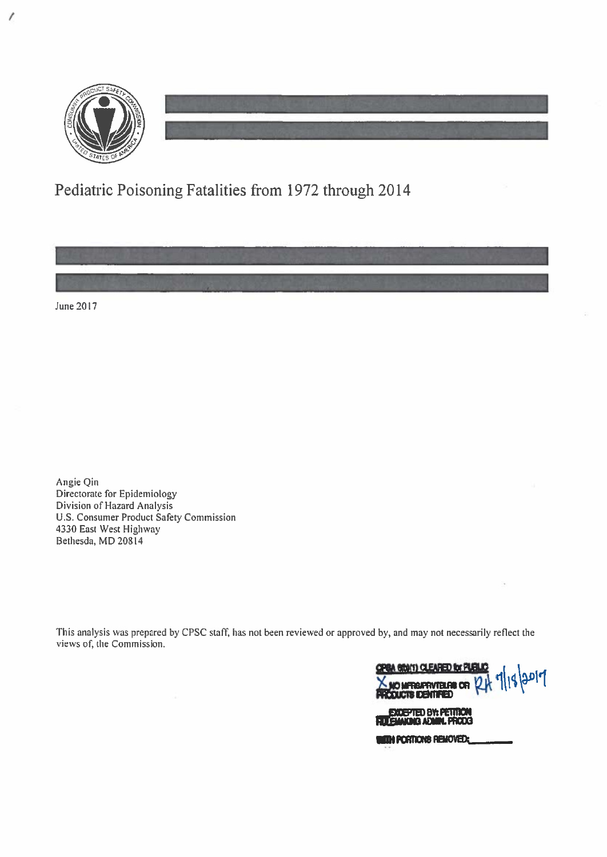

 $\prime$ 

# Pediatric Poisoning Fatalities from 1972 through 2014

June 2017

Angie Qin Directorate for Epidemiology Division of Hazard Analysis U.S. Consumer Product Safety Commission 4330 East West Highway Bethesda, MD 20814

This analysis was prepared by CPSC staff, has not been reviewed or approved by, and may not necessarily reflect the views of, the Commission.

**CONTI) CLEARED for PI** 7/18/2017 Volume Privielas or Q EXCEPTED BY: PETITION **WITH PORTIONS REMOVED:**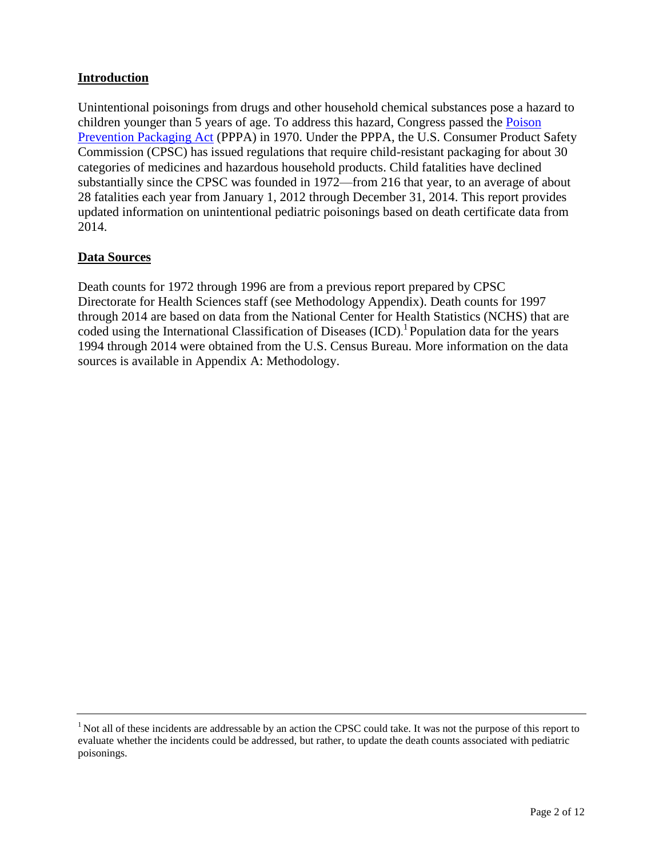### **Introduction**

Unintentional poisonings from drugs and other household chemical substances pose a hazard to children younger than 5 years of age. To address this hazard, Congress passed the [Poison](https://www.cpsc.gov/s3fs-public/pdfs/blk_media_pppa.pdf)  Prevention [Packaging Act](https://www.cpsc.gov/s3fs-public/pdfs/blk_media_pppa.pdf) (PPPA) in 1970. Under the PPPA, the U.S. Consumer Product Safety Commission (CPSC) has issued regulations that require child-resistant packaging for about 30 categories of medicines and hazardous household products. Child fatalities have declined substantially since the CPSC was founded in 1972—from 216 that year, to an average of about 28 fatalities each year from January 1, 2012 through December 31, 2014. This report provides updated information on unintentional pediatric poisonings based on death certificate data from 2014.

#### **Data Sources**

Death counts for 1972 through 1996 are from a previous report prepared by CPSC Directorate for Health Sciences staff (see Methodology Appendix). Death counts for 1997 through 2014 are based on data from the National Center for Health Statistics (NCHS) that are coded using the International Classification of Diseases (ICD). 1 Population data for the years 1994 through 2014 were obtained from the U.S. Census Bureau. More information on the data sources is available in Appendix A: Methodology.

<sup>&</sup>lt;sup>1</sup> Not all of these incidents are addressable by an action the CPSC could take. It was not the purpose of this report to evaluate whether the incidents could be addressed, but rather, to update the death counts associated with pediatric poisonings.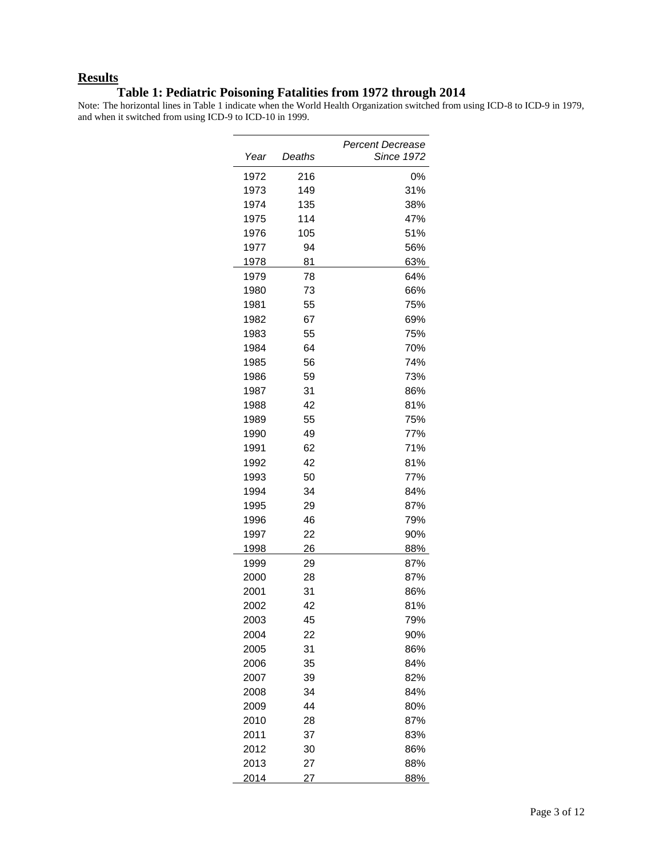#### **Results**

#### **Table 1: Pediatric Poisoning Fatalities from 1972 through 2014**

Note: The horizontal lines in Table 1 indicate when the World Health Organization switched from using ICD-8 to ICD-9 in 1979, and when it switched from using ICD-9 to ICD-10 in 1999.

|              |          | Percent Decrease  |  |
|--------------|----------|-------------------|--|
| Year         | Deaths   | <b>Since 1972</b> |  |
| 1972         | 216      | 0%                |  |
| 1973         | 149      | 31%               |  |
| 1974         | 135      | 38%               |  |
| 1975         | 114      | 47%               |  |
| 1976         | 105      | 51%               |  |
| 1977         | 94       | 56%               |  |
| 1978         | 81       | 63%               |  |
| 1979         | 78       | 64%               |  |
| 1980         | 73       | 66%               |  |
| 1981         | 55       | 75%               |  |
| 1982         | 67       | 69%               |  |
| 1983         | 55       | 75%               |  |
| 1984         | 64       | 70%               |  |
| 1985         | 56       | 74%               |  |
| 1986         | 59       | 73%               |  |
| 1987         | 31<br>42 | 86%<br>81%        |  |
| 1988<br>1989 | 55       | 75%               |  |
| 1990         | 49       | 77%               |  |
| 1991         | 62       | 71%               |  |
| 1992         | 42       | 81%               |  |
| 1993         | 50       | 77%               |  |
| 1994         | 34       | 84%               |  |
| 1995         | 29       | 87%               |  |
| 1996         | 46       | 79%               |  |
| 1997         | 22       | 90%               |  |
| 1998         | 26       | 88%               |  |
| 1999         | 29       | 87%               |  |
| 2000         | 28       | 87%               |  |
| 2001         | 31       | 86%               |  |
| 2002         | 42       | 81%               |  |
| 2003         | 45       | 79%               |  |
| 2004         | 22       | 90%               |  |
| 2005         | 31       | 86%               |  |
| 2006         | 35       | 84%               |  |
| 2007         | 39       | 82%               |  |
| 2008         | 34       | 84%               |  |
| 2009         | 44       | 80%               |  |
| 2010         | 28       | 87%               |  |
| 2011         | 37       | 83%               |  |
| 2012         | 30       | 86%               |  |
| 2013         | 27       | 88%               |  |
| 2014         | 27       | 88%               |  |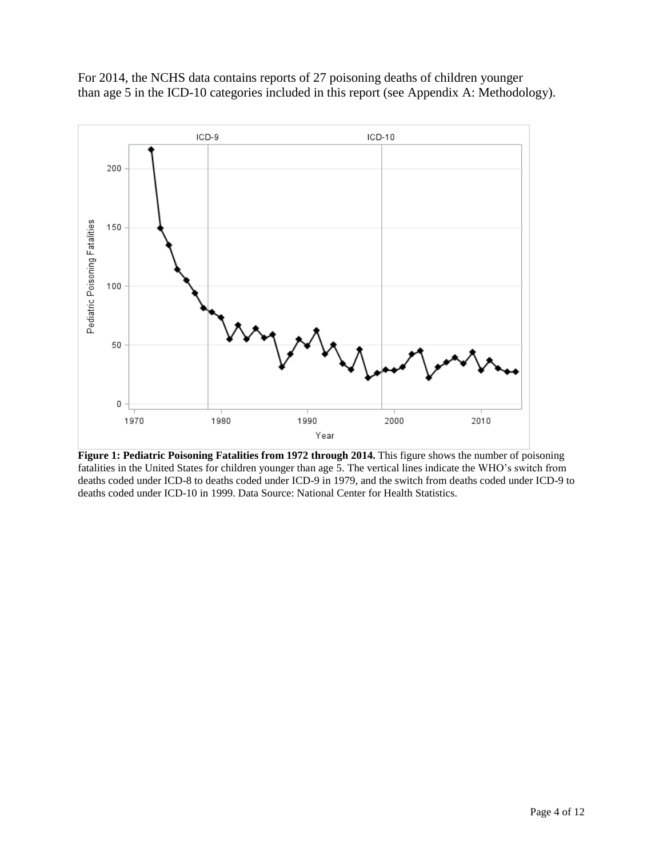For 2014, the NCHS data contains reports of 27 poisoning deaths of children younger than age 5 in the ICD-10 categories included in this report (see Appendix A: Methodology).



**Figure 1: Pediatric Poisoning Fatalities from 1972 through 2014.** This figure shows the number of poisoning fatalities in the United States for children younger than age 5. The vertical lines indicate the WHO's switch from deaths coded under ICD-8 to deaths coded under ICD-9 in 1979, and the switch from deaths coded under ICD-9 to deaths coded under ICD-10 in 1999. Data Source: National Center for Health Statistics.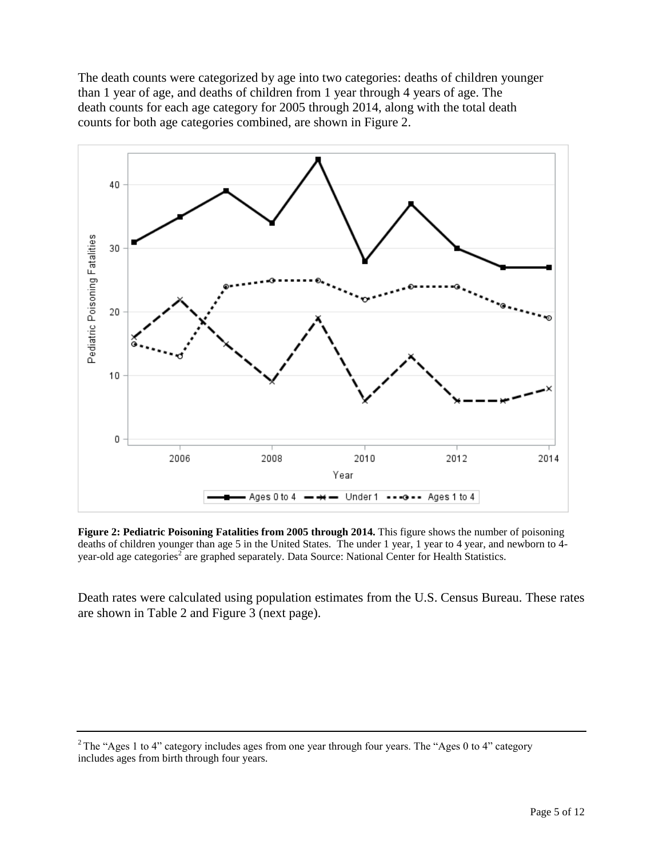The death counts were categorized by age into two categories: deaths of children younger than 1 year of age, and deaths of children from 1 year through 4 years of age. The death counts for each age category for 2005 through 2014, along with the total death counts for both age categories combined, are shown in Figure 2.



**Figure 2: Pediatric Poisoning Fatalities from 2005 through 2014.** This figure shows the number of poisoning deaths of children younger than age 5 in the United States. The under 1 year, 1 year to 4 year, and newborn to 4year-old age categories<sup>2</sup> are graphed separately. Data Source: National Center for Health Statistics.

Death rates were calculated using population estimates from the U.S. Census Bureau. These rates are shown in Table 2 and Figure 3 (next page).

<sup>&</sup>lt;sup>2</sup> The "Ages 1 to 4" category includes ages from one year through four years. The "Ages 0 to 4" category includes ages from birth through four years.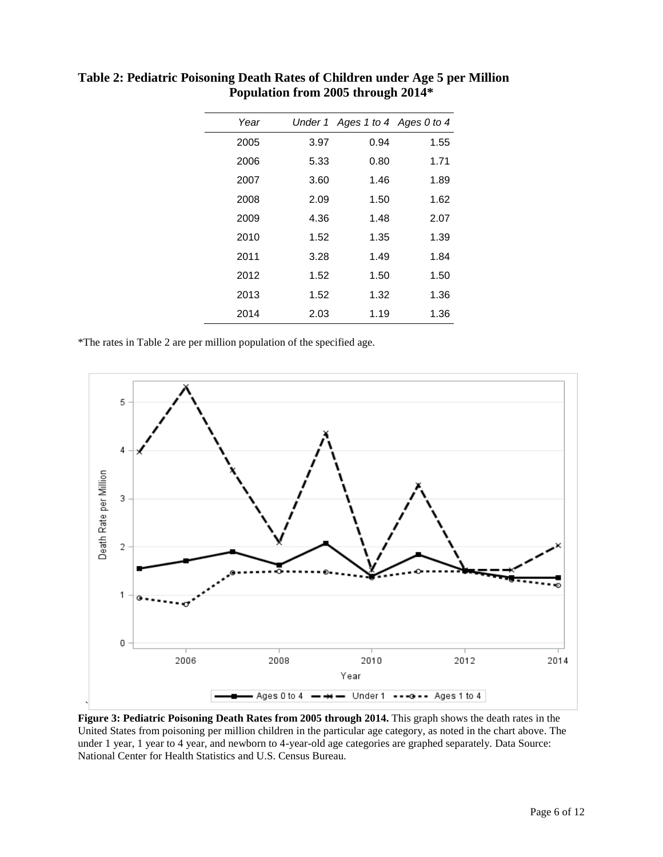| Year |      | Under 1 Ages 1 to 4 Ages 0 to 4 |      |
|------|------|---------------------------------|------|
| 2005 | 3.97 | 0.94                            | 1.55 |
| 2006 | 5.33 | 0.80                            | 1.71 |
| 2007 | 3.60 | 1.46                            | 1.89 |
| 2008 | 2.09 | 1.50                            | 1.62 |
| 2009 | 4.36 | 1.48                            | 2.07 |
| 2010 | 1.52 | 1.35                            | 1.39 |
| 2011 | 3.28 | 1.49                            | 1.84 |
| 2012 | 1.52 | 1.50                            | 1.50 |
| 2013 | 1.52 | 1.32                            | 1.36 |
| 2014 | 2.03 | 1.19                            | 1.36 |

**Table 2: Pediatric Poisoning Death Rates of Children under Age 5 per Million Population from 2005 through 2014\***

\*The rates in Table 2 are per million population of the specified age.



**Figure 3: Pediatric Poisoning Death Rates from 2005 through 2014.** This graph shows the death rates in the United States from poisoning per million children in the particular age category, as noted in the chart above. The under 1 year, 1 year to 4 year, and newborn to 4-year-old age categories are graphed separately. Data Source: National Center for Health Statistics and U.S. Census Bureau.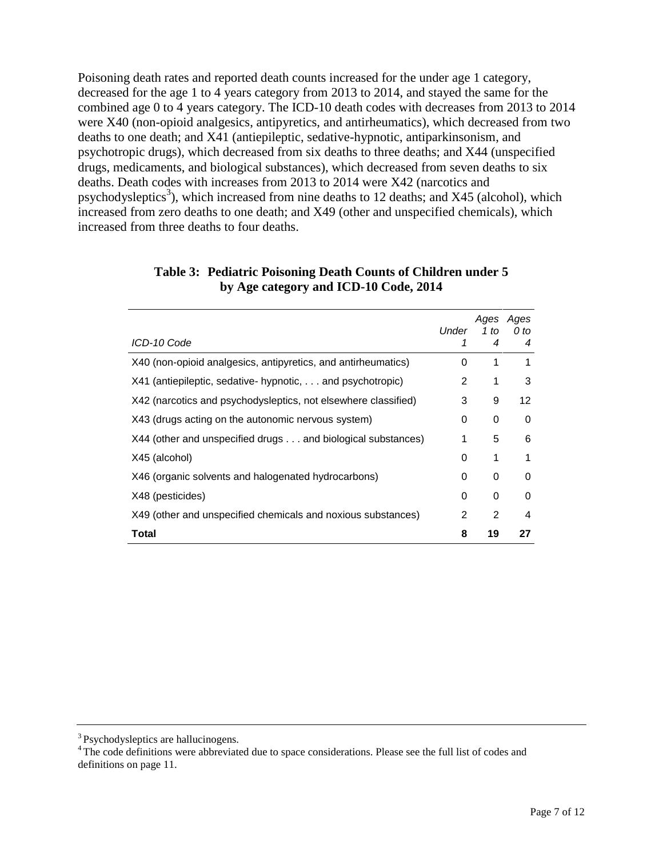Poisoning death rates and reported death counts increased for the under age 1 category, decreased for the age 1 to 4 years category from 2013 to 2014, and stayed the same for the combined age 0 to 4 years category. The ICD-10 death codes with decreases from 2013 to 2014 were X40 (non-opioid analgesics, antipyretics, and antirheumatics), which decreased from two deaths to one death; and X41 (antiepileptic, sedative-hypnotic, antiparkinsonism, and psychotropic drugs), which decreased from six deaths to three deaths; and X44 (unspecified drugs, medicaments, and biological substances), which decreased from seven deaths to six deaths. Death codes with increases from 2013 to 2014 were X42 (narcotics and psychodysleptics<sup>3</sup>), which increased from nine deaths to 12 deaths; and X45 (alcohol), which increased from zero deaths to one death; and X49 (other and unspecified chemicals), which increased from three deaths to four deaths.

| ICD-10 Code                                                    | Under<br>1    | Ages<br>1 to<br>4 | Ages<br>0 to<br>4 |
|----------------------------------------------------------------|---------------|-------------------|-------------------|
| X40 (non-opioid analgesics, antipyretics, and antirheumatics)  | 0             | 1                 | 1                 |
| X41 (antiepileptic, sedative- hypnotic,  and psychotropic)     | $\mathcal{P}$ | 1                 | 3                 |
| X42 (narcotics and psychodysleptics, not elsewhere classified) | 3             | 9                 | 12                |
| X43 (drugs acting on the autonomic nervous system)             | 0             | 0                 | 0                 |
| X44 (other and unspecified drugs and biological substances)    | 1             | 5                 | 6                 |
| X45 (alcohol)                                                  | 0             | 1                 |                   |
| X46 (organic solvents and halogenated hydrocarbons)            | 0             | 0                 | 0                 |
| X48 (pesticides)                                               | 0             | 0                 | 0                 |
| X49 (other and unspecified chemicals and noxious substances)   | 2             | $\mathfrak{p}$    | 4                 |
| Total                                                          | 8             | 19                | 27                |

#### **Table 3: Pediatric Poisoning Death Counts of Children under 5 by Age category and ICD-10 Code, 2014**

<sup>&</sup>lt;sup>3</sup> Psychodysleptics are hallucinogens.

<sup>&</sup>lt;sup>4</sup> The code definitions were abbreviated due to space considerations. Please see the full list of codes and definitions on page 11.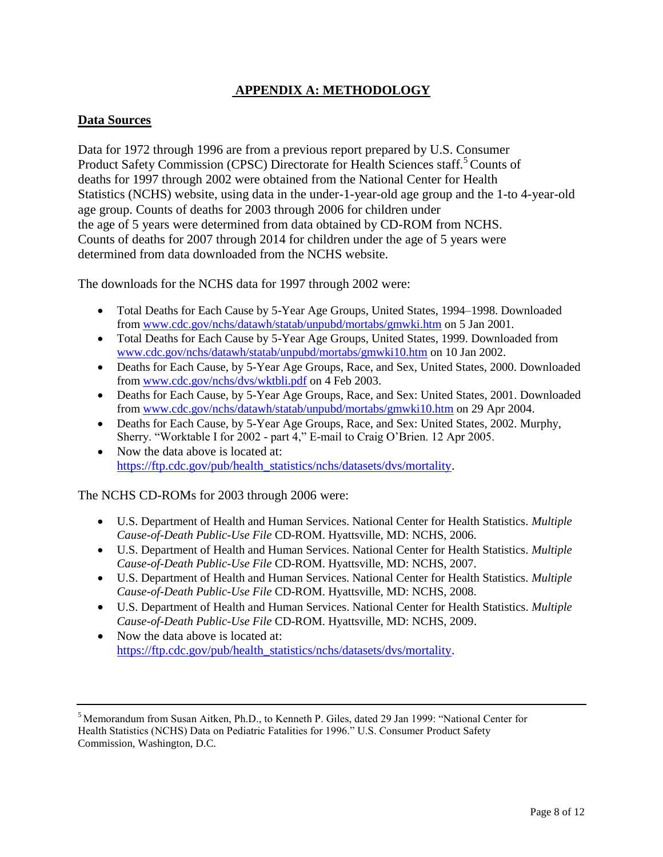## **APPENDIX A: METHODOLOGY**

#### **Data Sources**

Data for 1972 through 1996 are from a previous report prepared by U.S. Consumer Product Safety Commission (CPSC) Directorate for Health Sciences staff.<sup>5</sup> Counts of deaths for 1997 through 2002 were obtained from the National Center for Health Statistics (NCHS) website, using data in the under-1-year-old age group and the 1-to 4-year-old age group. Counts of deaths for 2003 through 2006 for children under the age of 5 years were determined from data obtained by CD-ROM from NCHS. Counts of deaths for 2007 through 2014 for children under the age of 5 years were determined from data downloaded from the NCHS website.

The downloads for the NCHS data for 1997 through 2002 were:

- Total Deaths for Each Cause by 5-Year Age Groups, United States, 1994–1998. Downloaded from<www.cdc.gov/nchs/datawh/statab/unpubd/mortabs/gmwki.htm> on 5 Jan 2001.
- Total Deaths for Each Cause by 5-Year Age Groups, United States, 1999. Downloaded from <www.cdc.gov/nchs/datawh/statab/unpubd/mortabs/gmwki10.htm> on 10 Jan 2002.
- Deaths for Each Cause, by 5-Year Age Groups, Race, and Sex, United States, 2000. Downloaded from<www.cdc.gov/nchs/dvs/wktbli.pdf> on 4 Feb 2003.
- Deaths for Each Cause, by 5-Year Age Groups, Race, and Sex: United States, 2001. Downloaded from<www.cdc.gov/nchs/datawh/statab/unpubd/mortabs/gmwki10.htm> on 29 Apr 2004.
- Deaths for Each Cause, by 5-Year Age Groups, Race, and Sex: United States, 2002. Murphy, Sherry. "Worktable I for 2002 - part 4," E-mail to Craig O'Brien. 12 Apr 2005.
- Now the data above is located at: [https://ftp.cdc.gov/pub/health\\_statistics/nchs/datasets/dvs/mortality.](https://ftp.cdc.gov/pub/health_statistics/nchs/datasets/dvs/mortality)

The NCHS CD-ROMs for 2003 through 2006 were:

- U.S. Department of Health and Human Services. National Center for Health Statistics. *Multiple Cause-of-Death Public-Use File* CD-ROM. Hyattsville, MD: NCHS, 2006.
- U.S. Department of Health and Human Services. National Center for Health Statistics. *Multiple Cause-of-Death Public-Use File* CD-ROM. Hyattsville, MD: NCHS, 2007.
- U.S. Department of Health and Human Services. National Center for Health Statistics. *Multiple Cause-of-Death Public-Use File* CD-ROM. Hyattsville, MD: NCHS, 2008.
- U.S. Department of Health and Human Services. National Center for Health Statistics. *Multiple Cause-of-Death Public-Use File* CD-ROM. Hyattsville, MD: NCHS, 2009.
- Now the data above is located at: [https://ftp.cdc.gov/pub/health\\_statistics/nchs/datasets/dvs/mortality.](https://ftp.cdc.gov/pub/health_statistics/nchs/datasets/dvs/mortality)

<sup>5</sup> Memorandum from Susan Aitken, Ph.D., to Kenneth P. Giles, dated 29 Jan 1999: "National Center for Health Statistics (NCHS) Data on Pediatric Fatalities for 1996." U.S. Consumer Product Safety Commission, Washington, D.C.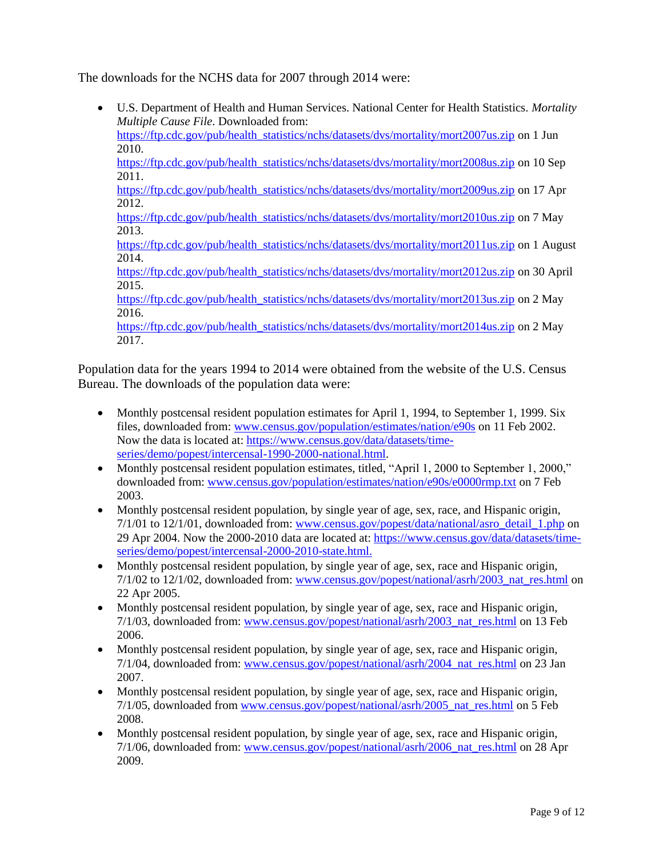The downloads for the NCHS data for 2007 through 2014 were:

 U.S. Department of Health and Human Services. National Center for Health Statistics. *Mortality Multiple Cause File*. Downloaded from: [https://ftp.cdc.gov/pub/health\\_statistics/nchs/datasets/dvs/mortality/mort2007us.zip](https://ftp.cdc.gov/pub/health_statistics/nchs/datasets/dvs/mortality/mort2007us.zip) on 1 Jun 2010.

[https://ftp.cdc.gov/pub/health\\_statistics/nchs/datasets/dvs/mortality/mort2008us.zip](https://ftp.cdc.gov/pub/health_statistics/nchs/datasets/dvs/mortality/mort2008us.zip) on 10 Sep 2011.

[https://ftp.cdc.gov/pub/health\\_statistics/nchs/datasets/dvs/mortality/mort2009us.zip](https://ftp.cdc.gov/pub/health_statistics/nchs/datasets/dvs/mortality/mort2009us.zip) on 17 Apr 2012.

[https://ftp.cdc.gov/pub/health\\_statistics/nchs/datasets/dvs/mortality/mort2010us.zip](https://ftp.cdc.gov/pub/health_statistics/nchs/datasets/dvs/mortality/mort2010us.zip) on 7 May 2013.

[https://ftp.cdc.gov/pub/health\\_statistics/nchs/datasets/dvs/mortality/mort2011us.zip](https://ftp.cdc.gov/pub/health_statistics/nchs/datasets/dvs/mortality/mort2011us.zip) on 1 August 2014.

[https://ftp.cdc.gov/pub/health\\_statistics/nchs/datasets/dvs/mortality/mort2012us.zip](https://ftp.cdc.gov/pub/health_statistics/nchs/datasets/dvs/mortality/mort2012us.zip) on 30 April 2015.

[https://ftp.cdc.gov/pub/health\\_statistics/nchs/datasets/dvs/mortality/mort2013us.zip](https://ftp.cdc.gov/pub/health_statistics/nchs/datasets/dvs/mortality/mort2013us.zip) on 2 May 2016.

[https://ftp.cdc.gov/pub/health\\_statistics/nchs/datasets/dvs/mortality/mort2014us.zip](https://ftp.cdc.gov/pub/health_statistics/nchs/datasets/dvs/mortality/mort2014us.zip) on 2 May 2017.

Population data for the years 1994 to 2014 were obtained from the website of the U.S. Census Bureau. The downloads of the population data were:

- Monthly postcensal resident population estimates for April 1, 1994, to September 1, 1999. Six files, downloaded from: <www.census.gov/population/estimates/nation/e90s> on 11 Feb 2002. Now the data is located at: [https://www.census.gov/data/datasets/time](https://www.census.gov/data/datasets/time-series/demo/popest/intercensal-1990-2000-national.html)[series/demo/popest/intercensal-1990-2000-national.html.](https://www.census.gov/data/datasets/time-series/demo/popest/intercensal-1990-2000-national.html)
- Monthly postcensal resident population estimates, titled, "April 1, 2000 to September 1, 2000," downloaded from: <www.census.gov/population/estimates/nation/e90s/e0000rmp.txt> on 7 Feb 2003.
- Monthly postcensal resident population, by single year of age, sex, race, and Hispanic origin, 7/1/01 to 12/1/01, downloaded from: [www.census.gov/popest/data/national/asro\\_detail\\_1.php](http://www.census.gov/popest/data/national/asro_detail_1.php) on 29 Apr 2004. Now the 2000-2010 data are located at: [https://www.census.gov/data/datasets/time](https://www.census.gov/data/datasets/time-series/demo/popest/intercensal-2000-2010-state.html)[series/demo/popest/intercensal-2000-2010-state.html.](https://www.census.gov/data/datasets/time-series/demo/popest/intercensal-2000-2010-state.html)
- Monthly postcensal resident population, by single year of age, sex, race and Hispanic origin,  $7/1/02$  to  $12/1/02$ , downloaded from: [www.census.gov/popest/national/asrh/2003\\_nat\\_res.html](www.census.gov/popest/national/asrh/2003_nat_res.html) on 22 Apr 2005.
- Monthly postcensal resident population, by single year of age, sex, race and Hispanic origin, 7/1/03, downloaded from: [www.census.gov/popest/national/asrh/2003\\_nat\\_res.html](www.census.gov/popest/national/asrh/2003_nat_res.html) on 13 Feb 2006.
- Monthly postcensal resident population, by single year of age, sex, race and Hispanic origin, 7/1/04, downloaded from: [www.census.gov/popest/national/asrh/2004\\_nat\\_res.html](www.census.gov/popest/national/asrh/2004_nat_res.html) on 23 Jan 2007.
- Monthly postcensal resident population, by single year of age, sex, race and Hispanic origin, 7/1/05, downloaded from [www.census.gov/popest/national/asrh/2005\\_nat\\_res.html](www.census.gov/popest/national/asrh/2005_nat_res.html) on 5 Feb 2008.
- Monthly postcensal resident population, by single year of age, sex, race and Hispanic origin, 7/1/06, downloaded from: [www.census.gov/popest/national/asrh/2006\\_nat\\_res.html](www.census.gov/popest/national/asrh/2006_nat_res.html) on 28 Apr 2009.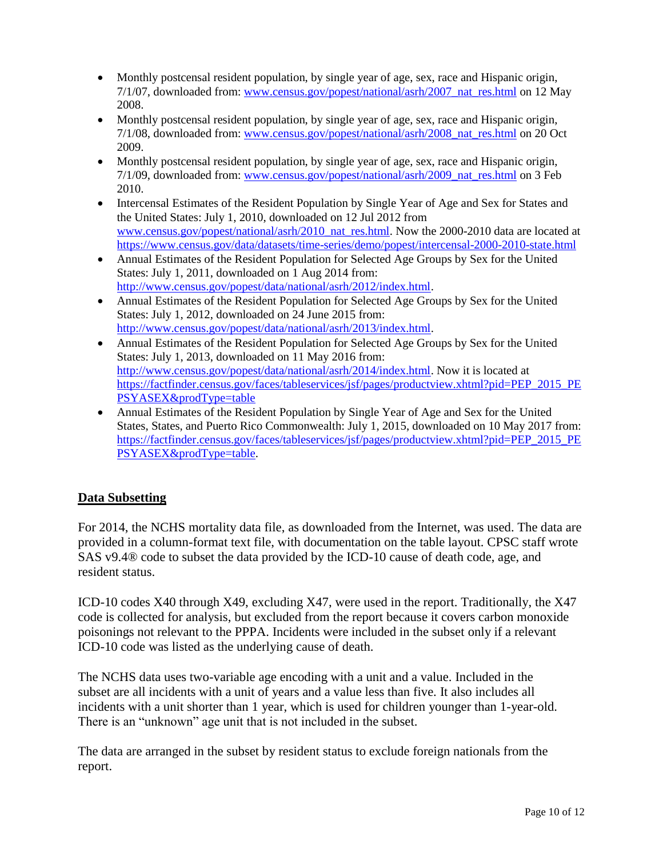- Monthly postcensal resident population, by single year of age, sex, race and Hispanic origin, 7/1/07, downloaded from: [www.census.gov/popest/national/asrh/2007\\_nat\\_res.html](www.census.gov/popest/national/asrh/2007_nat_res.html) on 12 May 2008.
- Monthly postcensal resident population, by single year of age, sex, race and Hispanic origin, 7/1/08, downloaded from: [www.census.gov/popest/national/asrh/2008\\_nat\\_res.html](www.census.gov/popest/national/asrh/2008_nat_res.html) on 20 Oct 2009.
- Monthly postcensal resident population, by single year of age, sex, race and Hispanic origin, 7/1/09, downloaded from: [www.census.gov/popest/national/asrh/2009\\_nat\\_res.html](www.census.gov/popest/national/asrh/2009_nat_res.html) on 3 Feb 2010.
- Intercensal Estimates of the Resident Population by Single Year of Age and Sex for States and the United States: July 1, 2010, downloaded on 12 Jul 2012 from [www.census.gov/popest/national/asrh/2010\\_nat\\_res.html.](http://www.census.gov/popest/national/asrh/2010_nat_res.html) Now the 2000-2010 data are located at <https://www.census.gov/data/datasets/time-series/demo/popest/intercensal-2000-2010-state.html>
- Annual Estimates of the Resident Population for Selected Age Groups by Sex for the United States: July 1, 2011, downloaded on 1 Aug 2014 from: [http://www.census.gov/popest/data/national/asrh/2012/index.html.](http://www.census.gov/popest/data/national/asrh/2012/index.html)
- Annual Estimates of the Resident Population for Selected Age Groups by Sex for the United States: July 1, 2012, downloaded on 24 June 2015 from: [http://www.census.gov/popest/data/national/asrh/2013/index.html.](http://www.census.gov/popest/data/national/asrh/2013/index.html)
- Annual Estimates of the Resident Population for Selected Age Groups by Sex for the United States: July 1, 2013, downloaded on 11 May 2016 from: [http://www.census.gov/popest/data/national/asrh/2014/index.html.](http://www.census.gov/popest/data/national/asrh/2014/index.html) Now it is located at [https://factfinder.census.gov/faces/tableservices/jsf/pages/productview.xhtml?pid=PEP\\_2015\\_PE](https://factfinder.census.gov/faces/tableservices/jsf/pages/productview.xhtml?pid=PEP_2015_PEPSYASEX&prodType=table%20) [PSYASEX&prodType=table](https://factfinder.census.gov/faces/tableservices/jsf/pages/productview.xhtml?pid=PEP_2015_PEPSYASEX&prodType=table%20)
- Annual Estimates of the Resident Population by Single Year of Age and Sex for the United States, States, and Puerto Rico Commonwealth: July 1, 2015, downloaded on 10 May 2017 from: [https://factfinder.census.gov/faces/tableservices/jsf/pages/productview.xhtml?pid=PEP\\_2015\\_PE](https://factfinder.census.gov/faces/tableservices/jsf/pages/productview.xhtml?pid=PEP_2015_PEPSYASEX&prodType=table%20) [PSYASEX&prodType=table.](https://factfinder.census.gov/faces/tableservices/jsf/pages/productview.xhtml?pid=PEP_2015_PEPSYASEX&prodType=table%20)

## **Data Subsetting**

For 2014, the NCHS mortality data file, as downloaded from the Internet, was used. The data are provided in a column-format text file, with documentation on the table layout. CPSC staff wrote SAS v9.4® code to subset the data provided by the ICD-10 cause of death code, age, and resident status.

ICD-10 codes X40 through X49, excluding X47, were used in the report. Traditionally, the X47 code is collected for analysis, but excluded from the report because it covers carbon monoxide poisonings not relevant to the PPPA. Incidents were included in the subset only if a relevant ICD-10 code was listed as the underlying cause of death.

The NCHS data uses two-variable age encoding with a unit and a value. Included in the subset are all incidents with a unit of years and a value less than five. It also includes all incidents with a unit shorter than 1 year, which is used for children younger than 1-year-old. There is an "unknown" age unit that is not included in the subset.

The data are arranged in the subset by resident status to exclude foreign nationals from the report.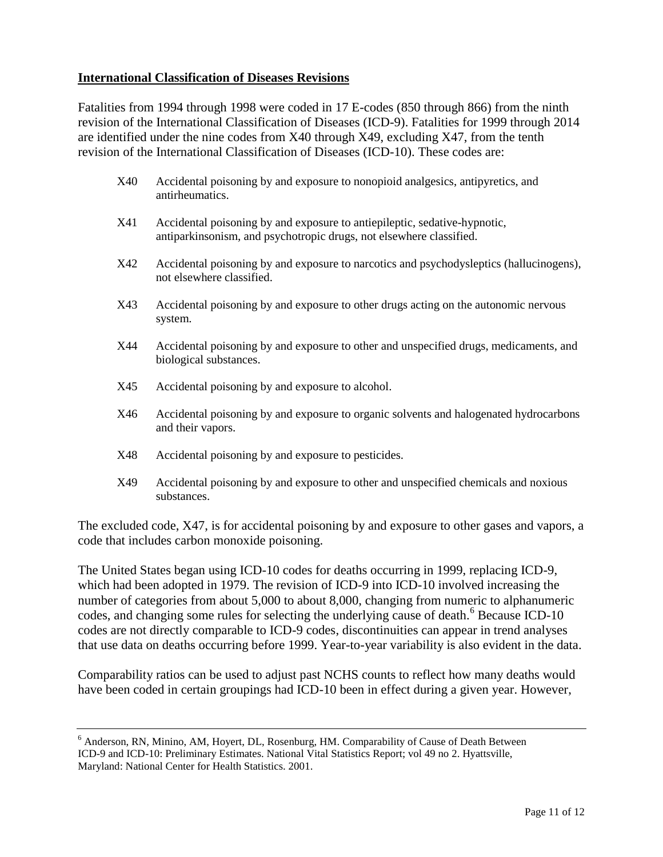#### **International Classification of Diseases Revisions**

Fatalities from 1994 through 1998 were coded in 17 E-codes (850 through 866) from the ninth revision of the International Classification of Diseases (ICD-9). Fatalities for 1999 through 2014 are identified under the nine codes from X40 through X49, excluding X47, from the tenth revision of the International Classification of Diseases (ICD-10). These codes are:

- X40 Accidental poisoning by and exposure to nonopioid analgesics, antipyretics, and antirheumatics.
- X41 Accidental poisoning by and exposure to antiepileptic, sedative-hypnotic, antiparkinsonism, and psychotropic drugs, not elsewhere classified.
- X42 Accidental poisoning by and exposure to narcotics and psychodysleptics (hallucinogens), not elsewhere classified.
- X43 Accidental poisoning by and exposure to other drugs acting on the autonomic nervous system.
- X44 Accidental poisoning by and exposure to other and unspecified drugs, medicaments, and biological substances.
- X45 Accidental poisoning by and exposure to alcohol.
- X46 Accidental poisoning by and exposure to organic solvents and halogenated hydrocarbons and their vapors.
- X48 Accidental poisoning by and exposure to pesticides.
- X49 Accidental poisoning by and exposure to other and unspecified chemicals and noxious substances.

The excluded code, X47, is for accidental poisoning by and exposure to other gases and vapors, a code that includes carbon monoxide poisoning.

The United States began using ICD-10 codes for deaths occurring in 1999, replacing ICD-9, which had been adopted in 1979. The revision of ICD-9 into ICD-10 involved increasing the number of categories from about 5,000 to about 8,000, changing from numeric to alphanumeric codes, and changing some rules for selecting the underlying cause of death.<sup>6</sup> Because ICD-10 codes are not directly comparable to ICD-9 codes, discontinuities can appear in trend analyses that use data on deaths occurring before 1999. Year-to-year variability is also evident in the data.

Comparability ratios can be used to adjust past NCHS counts to reflect how many deaths would have been coded in certain groupings had ICD-10 been in effect during a given year. However,

<sup>&</sup>lt;sup>6</sup> Anderson, RN, Minino, AM, Hoyert, DL, Rosenburg, HM. Comparability of Cause of Death Between ICD-9 and ICD-10: Preliminary Estimates. National Vital Statistics Report; vol 49 no 2. Hyattsville, Maryland: National Center for Health Statistics. 2001.